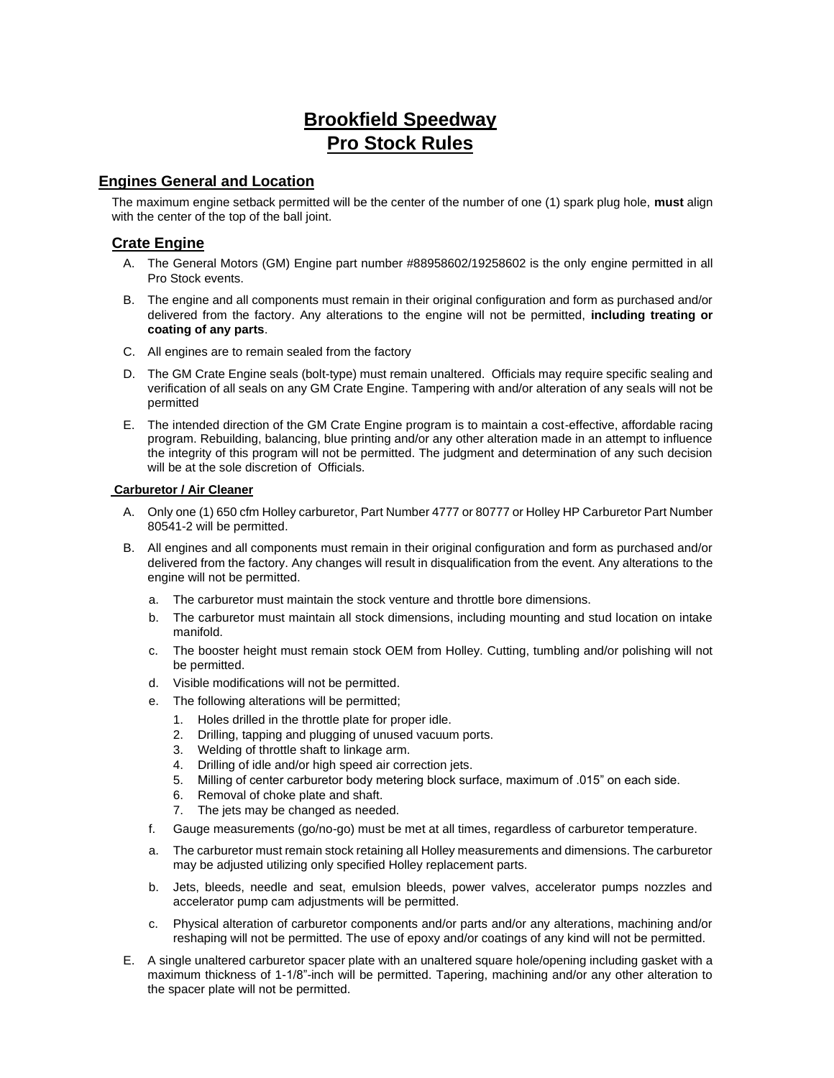# **Brookfield Speedway Pro Stock Rules**

# **Engines General and Location**

The maximum engine setback permitted will be the center of the number of one (1) spark plug hole, **must** align with the center of the top of the ball joint.

# **Crate Engine**

- A. The General Motors (GM) Engine part number #88958602/19258602 is the only engine permitted in all Pro Stock events.
- B. The engine and all components must remain in their original configuration and form as purchased and/or delivered from the factory. Any alterations to the engine will not be permitted, **including treating or coating of any parts**.
- C. All engines are to remain sealed from the factory
- D. The GM Crate Engine seals (bolt-type) must remain unaltered. Officials may require specific sealing and verification of all seals on any GM Crate Engine. Tampering with and/or alteration of any seals will not be permitted
- E. The intended direction of the GM Crate Engine program is to maintain a cost-effective, affordable racing program. Rebuilding, balancing, blue printing and/or any other alteration made in an attempt to influence the integrity of this program will not be permitted. The judgment and determination of any such decision will be at the sole discretion of Officials.

### **Carburetor / Air Cleaner**

- A. Only one (1) 650 cfm Holley carburetor, Part Number 4777 or 80777 or Holley HP Carburetor Part Number 80541-2 will be permitted.
- B. All engines and all components must remain in their original configuration and form as purchased and/or delivered from the factory. Any changes will result in disqualification from the event. Any alterations to the engine will not be permitted.
	- a. The carburetor must maintain the stock venture and throttle bore dimensions.
	- b. The carburetor must maintain all stock dimensions, including mounting and stud location on intake manifold.
	- c. The booster height must remain stock OEM from Holley. Cutting, tumbling and/or polishing will not be permitted.
	- d. Visible modifications will not be permitted.
	- e. The following alterations will be permitted;
		- 1. Holes drilled in the throttle plate for proper idle.
		- 2. Drilling, tapping and plugging of unused vacuum ports.
		- 3. Welding of throttle shaft to linkage arm.
		- 4. Drilling of idle and/or high speed air correction jets.
		- 5. Milling of center carburetor body metering block surface, maximum of .015" on each side.
		- 6. Removal of choke plate and shaft.
		- 7. The jets may be changed as needed.
	- f. Gauge measurements (go/no-go) must be met at all times, regardless of carburetor temperature.
	- a. The carburetor must remain stock retaining all Holley measurements and dimensions. The carburetor may be adjusted utilizing only specified Holley replacement parts.
	- b. Jets, bleeds, needle and seat, emulsion bleeds, power valves, accelerator pumps nozzles and accelerator pump cam adjustments will be permitted.
	- c. Physical alteration of carburetor components and/or parts and/or any alterations, machining and/or reshaping will not be permitted. The use of epoxy and/or coatings of any kind will not be permitted.
- E. A single unaltered carburetor spacer plate with an unaltered square hole/opening including gasket with a maximum thickness of 1-1/8"-inch will be permitted. Tapering, machining and/or any other alteration to the spacer plate will not be permitted.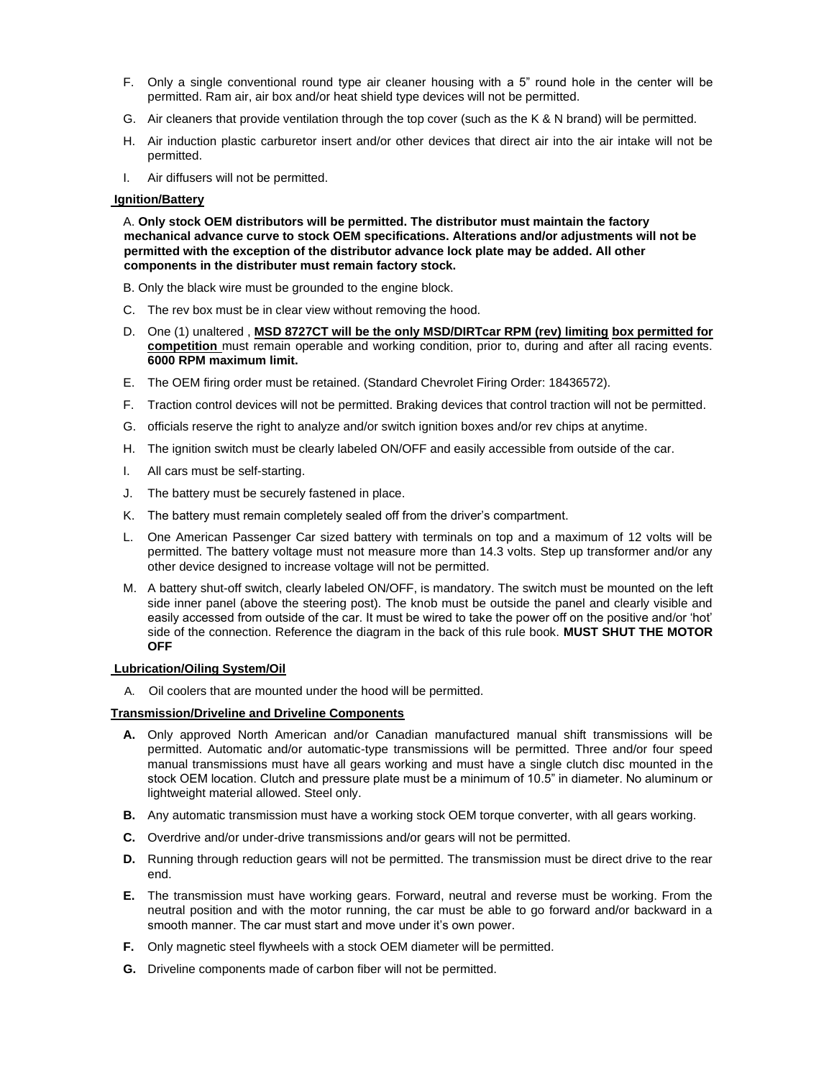- F. Only a single conventional round type air cleaner housing with a 5" round hole in the center will be permitted. Ram air, air box and/or heat shield type devices will not be permitted.
- G. Air cleaners that provide ventilation through the top cover (such as the K & N brand) will be permitted.
- H. Air induction plastic carburetor insert and/or other devices that direct air into the air intake will not be permitted.
- I. Air diffusers will not be permitted.

#### **Ignition/Battery**

A. **Only stock OEM distributors will be permitted. The distributor must maintain the factory mechanical advance curve to stock OEM specifications. Alterations and/or adjustments will not be permitted with the exception of the distributor advance lock plate may be added. All other components in the distributer must remain factory stock.** 

B. Only the black wire must be grounded to the engine block.

- C. The rev box must be in clear view without removing the hood.
- D. One (1) unaltered , **MSD 8727CT will be the only MSD/DIRTcar RPM (rev) limiting box permitted for competition** must remain operable and working condition, prior to, during and after all racing events. **6000 RPM maximum limit.**
- E. The OEM firing order must be retained. (Standard Chevrolet Firing Order: 18436572).
- F. Traction control devices will not be permitted. Braking devices that control traction will not be permitted.
- G. officials reserve the right to analyze and/or switch ignition boxes and/or rev chips at anytime.
- H. The ignition switch must be clearly labeled ON/OFF and easily accessible from outside of the car.
- I. All cars must be self-starting.
- J. The battery must be securely fastened in place.
- K. The battery must remain completely sealed off from the driver's compartment.
- L. One American Passenger Car sized battery with terminals on top and a maximum of 12 volts will be permitted. The battery voltage must not measure more than 14.3 volts. Step up transformer and/or any other device designed to increase voltage will not be permitted.
- M. A battery shut-off switch, clearly labeled ON/OFF, is mandatory. The switch must be mounted on the left side inner panel (above the steering post). The knob must be outside the panel and clearly visible and easily accessed from outside of the car. It must be wired to take the power off on the positive and/or 'hot' side of the connection. Reference the diagram in the back of this rule book. **MUST SHUT THE MOTOR OFF**

#### **Lubrication/Oiling System/Oil**

A. Oil coolers that are mounted under the hood will be permitted.

### **Transmission/Driveline and Driveline Components**

- **A.** Only approved North American and/or Canadian manufactured manual shift transmissions will be permitted. Automatic and/or automatic-type transmissions will be permitted. Three and/or four speed manual transmissions must have all gears working and must have a single clutch disc mounted in the stock OEM location. Clutch and pressure plate must be a minimum of 10.5" in diameter. No aluminum or lightweight material allowed. Steel only.
- **B.** Any automatic transmission must have a working stock OEM torque converter, with all gears working.
- **C.** Overdrive and/or under-drive transmissions and/or gears will not be permitted.
- **D.** Running through reduction gears will not be permitted. The transmission must be direct drive to the rear end.
- **E.** The transmission must have working gears. Forward, neutral and reverse must be working. From the neutral position and with the motor running, the car must be able to go forward and/or backward in a smooth manner. The car must start and move under it's own power.
- **F.** Only magnetic steel flywheels with a stock OEM diameter will be permitted.
- **G.** Driveline components made of carbon fiber will not be permitted.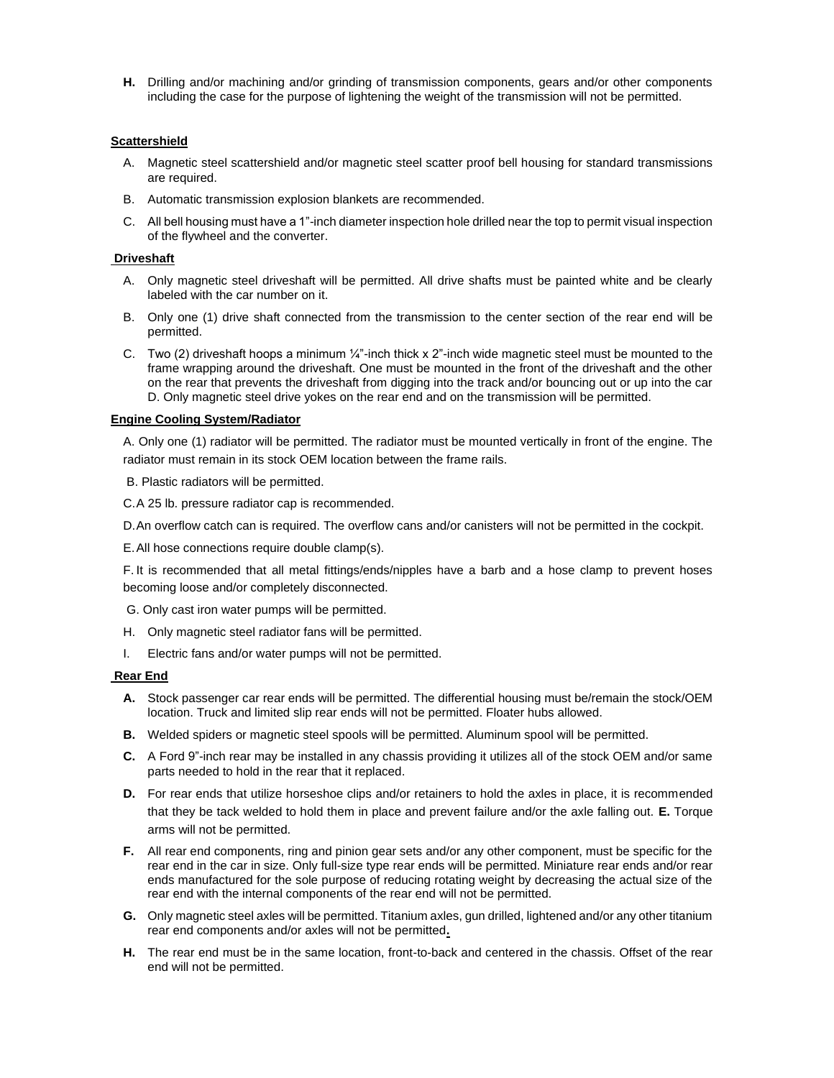**H.** Drilling and/or machining and/or grinding of transmission components, gears and/or other components including the case for the purpose of lightening the weight of the transmission will not be permitted.

### **Scattershield**

- A. Magnetic steel scattershield and/or magnetic steel scatter proof bell housing for standard transmissions are required.
- B. Automatic transmission explosion blankets are recommended.
- C. All bell housing must have a 1"-inch diameter inspection hole drilled near the top to permit visual inspection of the flywheel and the converter.

### **Driveshaft**

- A. Only magnetic steel driveshaft will be permitted. All drive shafts must be painted white and be clearly labeled with the car number on it.
- B. Only one (1) drive shaft connected from the transmission to the center section of the rear end will be permitted.
- C. Two (2) driveshaft hoops a minimum  $\frac{1}{4}$ "-inch thick x 2"-inch wide magnetic steel must be mounted to the frame wrapping around the driveshaft. One must be mounted in the front of the driveshaft and the other on the rear that prevents the driveshaft from digging into the track and/or bouncing out or up into the car D. Only magnetic steel drive yokes on the rear end and on the transmission will be permitted.

### **Engine Cooling System/Radiator**

A. Only one (1) radiator will be permitted. The radiator must be mounted vertically in front of the engine. The radiator must remain in its stock OEM location between the frame rails.

B. Plastic radiators will be permitted.

C.A 25 lb. pressure radiator cap is recommended.

D.An overflow catch can is required. The overflow cans and/or canisters will not be permitted in the cockpit.

E.All hose connections require double clamp(s).

F. It is recommended that all metal fittings/ends/nipples have a barb and a hose clamp to prevent hoses becoming loose and/or completely disconnected.

G. Only cast iron water pumps will be permitted.

- H. Only magnetic steel radiator fans will be permitted.
- I. Electric fans and/or water pumps will not be permitted.

### **Rear End**

- **A.** Stock passenger car rear ends will be permitted. The differential housing must be/remain the stock/OEM location. Truck and limited slip rear ends will not be permitted. Floater hubs allowed.
- **B.** Welded spiders or magnetic steel spools will be permitted. Aluminum spool will be permitted.
- **C.** A Ford 9"-inch rear may be installed in any chassis providing it utilizes all of the stock OEM and/or same parts needed to hold in the rear that it replaced.
- **D.** For rear ends that utilize horseshoe clips and/or retainers to hold the axles in place, it is recommended that they be tack welded to hold them in place and prevent failure and/or the axle falling out. **E.** Torque arms will not be permitted.
- **F.** All rear end components, ring and pinion gear sets and/or any other component, must be specific for the rear end in the car in size. Only full-size type rear ends will be permitted. Miniature rear ends and/or rear ends manufactured for the sole purpose of reducing rotating weight by decreasing the actual size of the rear end with the internal components of the rear end will not be permitted.
- **G.** Only magnetic steel axles will be permitted. Titanium axles, gun drilled, lightened and/or any other titanium rear end components and/or axles will not be permitted**.**
- **H.** The rear end must be in the same location, front-to-back and centered in the chassis. Offset of the rear end will not be permitted.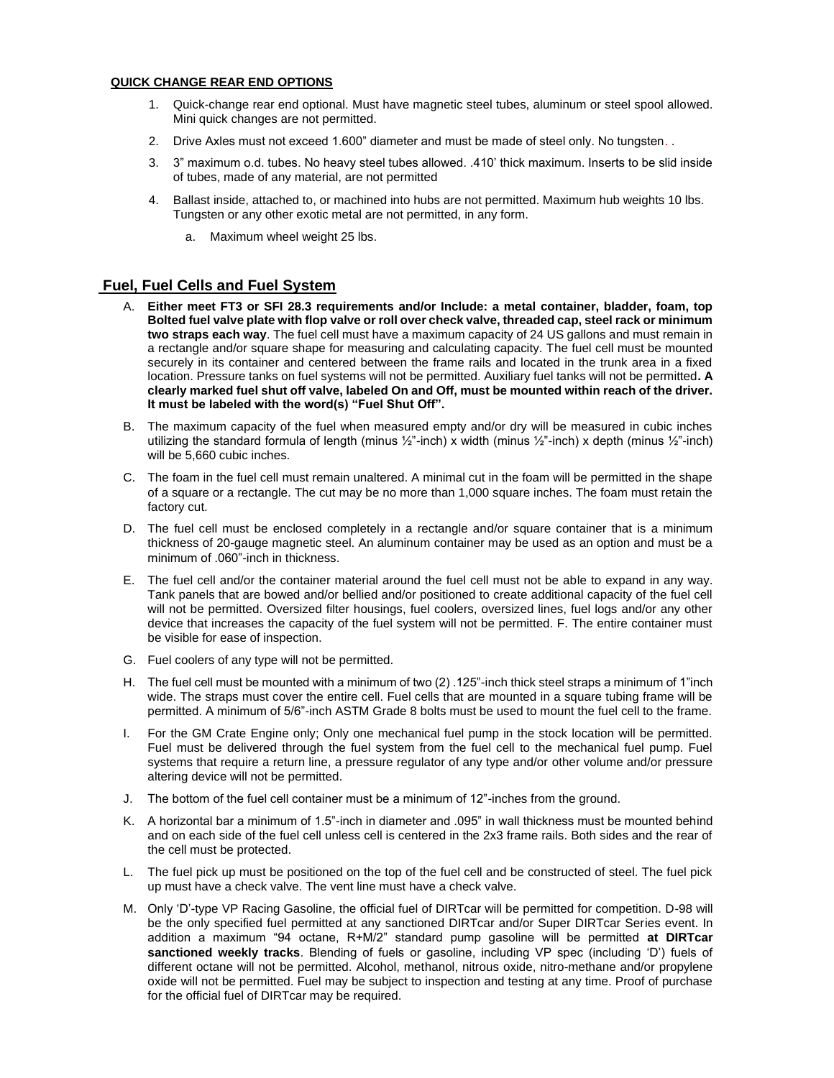### **QUICK CHANGE REAR END OPTIONS**

- 1. Quick-change rear end optional. Must have magnetic steel tubes, aluminum or steel spool allowed. Mini quick changes are not permitted.
- 2. Drive Axles must not exceed 1.600" diameter and must be made of steel only. No tungsten. .
- 3. 3" maximum o.d. tubes. No heavy steel tubes allowed. .410' thick maximum. Inserts to be slid inside of tubes, made of any material, are not permitted
- 4. Ballast inside, attached to, or machined into hubs are not permitted. Maximum hub weights 10 lbs. Tungsten or any other exotic metal are not permitted, in any form.
	- a. Maximum wheel weight 25 lbs.

# **Fuel, Fuel Cells and Fuel System**

- A. **Either meet FT3 or SFI 28.3 requirements and/or Include: a metal container, bladder, foam, top Bolted fuel valve plate with flop valve or roll over check valve, threaded cap, steel rack or minimum two straps each way**. The fuel cell must have a maximum capacity of 24 US gallons and must remain in a rectangle and/or square shape for measuring and calculating capacity. The fuel cell must be mounted securely in its container and centered between the frame rails and located in the trunk area in a fixed location. Pressure tanks on fuel systems will not be permitted. Auxiliary fuel tanks will not be permitted**. A clearly marked fuel shut off valve, labeled On and Off, must be mounted within reach of the driver. It must be labeled with the word(s) "Fuel Shut Off".**
- B. The maximum capacity of the fuel when measured empty and/or dry will be measured in cubic inches utilizing the standard formula of length (minus ½"-inch) x width (minus ½"-inch) x depth (minus ½"-inch) will be 5,660 cubic inches.
- C. The foam in the fuel cell must remain unaltered. A minimal cut in the foam will be permitted in the shape of a square or a rectangle. The cut may be no more than 1,000 square inches. The foam must retain the factory cut.
- D. The fuel cell must be enclosed completely in a rectangle and/or square container that is a minimum thickness of 20-gauge magnetic steel. An aluminum container may be used as an option and must be a minimum of .060"-inch in thickness.
- E. The fuel cell and/or the container material around the fuel cell must not be able to expand in any way. Tank panels that are bowed and/or bellied and/or positioned to create additional capacity of the fuel cell will not be permitted. Oversized filter housings, fuel coolers, oversized lines, fuel logs and/or any other device that increases the capacity of the fuel system will not be permitted. F. The entire container must be visible for ease of inspection.
- G. Fuel coolers of any type will not be permitted.
- H. The fuel cell must be mounted with a minimum of two (2) .125"-inch thick steel straps a minimum of 1"inch wide. The straps must cover the entire cell. Fuel cells that are mounted in a square tubing frame will be permitted. A minimum of 5/6"-inch ASTM Grade 8 bolts must be used to mount the fuel cell to the frame.
- I. For the GM Crate Engine only; Only one mechanical fuel pump in the stock location will be permitted. Fuel must be delivered through the fuel system from the fuel cell to the mechanical fuel pump. Fuel systems that require a return line, a pressure regulator of any type and/or other volume and/or pressure altering device will not be permitted.
- J. The bottom of the fuel cell container must be a minimum of 12"-inches from the ground.
- K. A horizontal bar a minimum of 1.5"-inch in diameter and .095" in wall thickness must be mounted behind and on each side of the fuel cell unless cell is centered in the 2x3 frame rails. Both sides and the rear of the cell must be protected.
- L. The fuel pick up must be positioned on the top of the fuel cell and be constructed of steel. The fuel pick up must have a check valve. The vent line must have a check valve.
- M. Only 'D'-type VP Racing Gasoline, the official fuel of DIRTcar will be permitted for competition. D-98 will be the only specified fuel permitted at any sanctioned DIRTcar and/or Super DIRTcar Series event. In addition a maximum "94 octane, R+M/2" standard pump gasoline will be permitted **at DIRTcar sanctioned weekly tracks**. Blending of fuels or gasoline, including VP spec (including 'D') fuels of different octane will not be permitted. Alcohol, methanol, nitrous oxide, nitro-methane and/or propylene oxide will not be permitted. Fuel may be subject to inspection and testing at any time. Proof of purchase for the official fuel of DIRTcar may be required.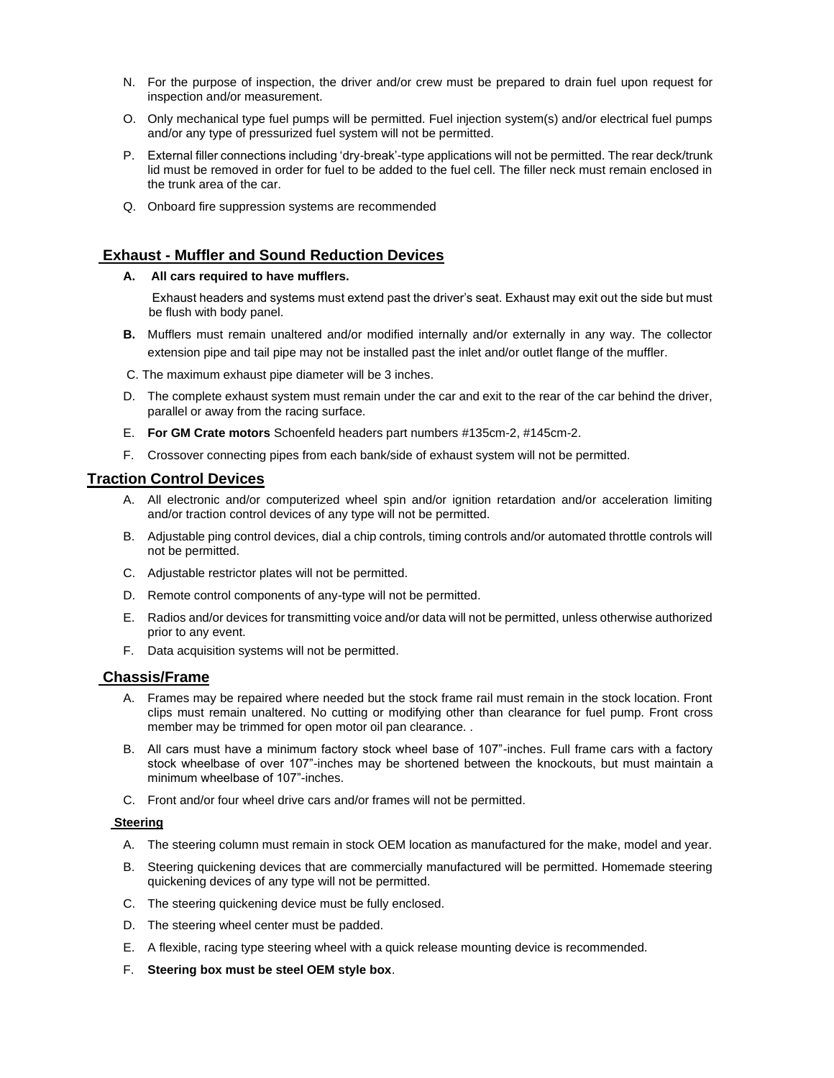- N. For the purpose of inspection, the driver and/or crew must be prepared to drain fuel upon request for inspection and/or measurement.
- O. Only mechanical type fuel pumps will be permitted. Fuel injection system(s) and/or electrical fuel pumps and/or any type of pressurized fuel system will not be permitted.
- P. External filler connections including 'dry-break'-type applications will not be permitted. The rear deck/trunk lid must be removed in order for fuel to be added to the fuel cell. The filler neck must remain enclosed in the trunk area of the car.
- Q. Onboard fire suppression systems are recommended

# **Exhaust - Muffler and Sound Reduction Devices**

### **A. All cars required to have mufflers.**

Exhaust headers and systems must extend past the driver's seat. Exhaust may exit out the side but must be flush with body panel.

- **B.** Mufflers must remain unaltered and/or modified internally and/or externally in any way. The collector extension pipe and tail pipe may not be installed past the inlet and/or outlet flange of the muffler.
- C. The maximum exhaust pipe diameter will be 3 inches.
- D. The complete exhaust system must remain under the car and exit to the rear of the car behind the driver, parallel or away from the racing surface.
- E. **For GM Crate motors** Schoenfeld headers part numbers #135cm-2, #145cm-2.
- F. Crossover connecting pipes from each bank/side of exhaust system will not be permitted.

# **Traction Control Devices**

- A. All electronic and/or computerized wheel spin and/or ignition retardation and/or acceleration limiting and/or traction control devices of any type will not be permitted.
- B. Adjustable ping control devices, dial a chip controls, timing controls and/or automated throttle controls will not be permitted.
- C. Adjustable restrictor plates will not be permitted.
- D. Remote control components of any-type will not be permitted.
- E. Radios and/or devices for transmitting voice and/or data will not be permitted, unless otherwise authorized prior to any event.
- F. Data acquisition systems will not be permitted.

# **Chassis/Frame**

- A. Frames may be repaired where needed but the stock frame rail must remain in the stock location. Front clips must remain unaltered. No cutting or modifying other than clearance for fuel pump. Front cross member may be trimmed for open motor oil pan clearance. .
- B. All cars must have a minimum factory stock wheel base of 107"-inches. Full frame cars with a factory stock wheelbase of over 107"-inches may be shortened between the knockouts, but must maintain a minimum wheelbase of 107"-inches.
- C. Front and/or four wheel drive cars and/or frames will not be permitted.

### **Steering**

- A. The steering column must remain in stock OEM location as manufactured for the make, model and year.
- B. Steering quickening devices that are commercially manufactured will be permitted. Homemade steering quickening devices of any type will not be permitted.
- C. The steering quickening device must be fully enclosed.
- D. The steering wheel center must be padded.
- E. A flexible, racing type steering wheel with a quick release mounting device is recommended.
- F. **Steering box must be steel OEM style box**.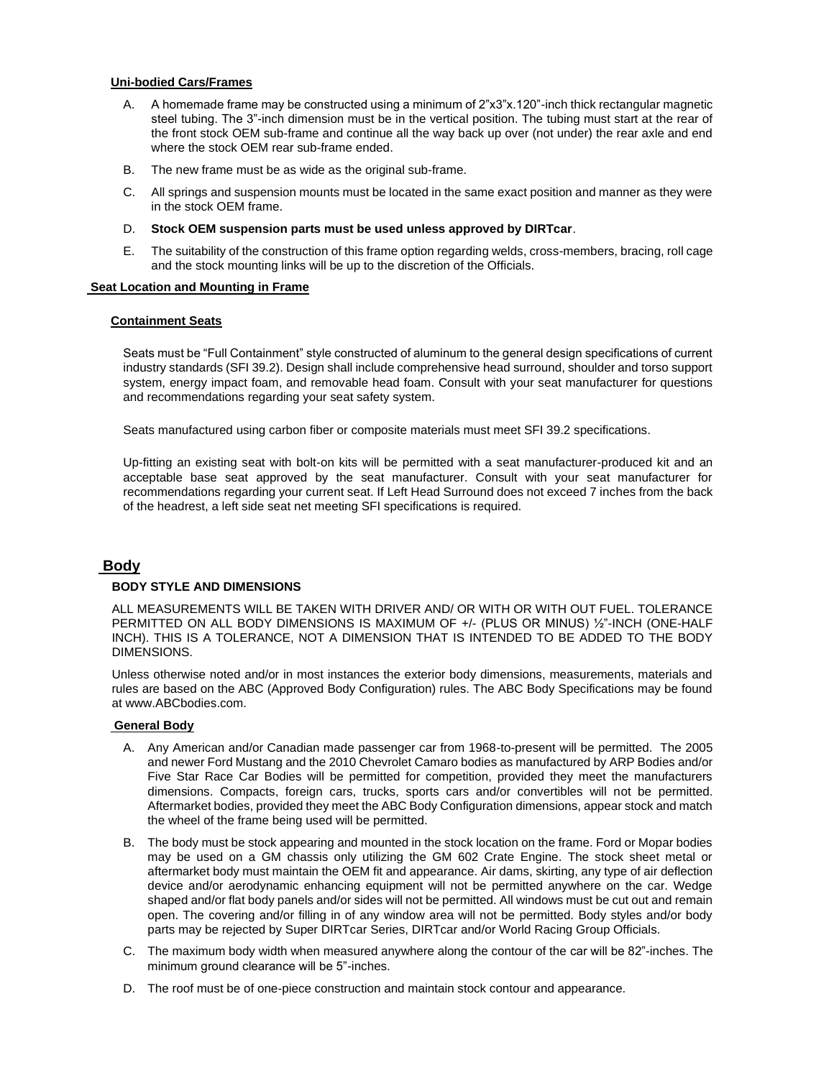### **Uni-bodied Cars/Frames**

- A. A homemade frame may be constructed using a minimum of 2"x3"x.120"-inch thick rectangular magnetic steel tubing. The 3"-inch dimension must be in the vertical position. The tubing must start at the rear of the front stock OEM sub-frame and continue all the way back up over (not under) the rear axle and end where the stock OEM rear sub-frame ended.
- B. The new frame must be as wide as the original sub-frame.
- C. All springs and suspension mounts must be located in the same exact position and manner as they were in the stock OEM frame.
- D. **Stock OEM suspension parts must be used unless approved by DIRTcar**.
- E. The suitability of the construction of this frame option regarding welds, cross-members, bracing, roll cage and the stock mounting links will be up to the discretion of the Officials.

### **Seat Location and Mounting in Frame**

### **Containment Seats**

Seats must be "Full Containment" style constructed of aluminum to the general design specifications of current industry standards (SFI 39.2). Design shall include comprehensive head surround, shoulder and torso support system, energy impact foam, and removable head foam. Consult with your seat manufacturer for questions and recommendations regarding your seat safety system.

Seats manufactured using carbon fiber or composite materials must meet SFI 39.2 specifications.

Up-fitting an existing seat with bolt-on kits will be permitted with a seat manufacturer-produced kit and an acceptable base seat approved by the seat manufacturer. Consult with your seat manufacturer for recommendations regarding your current seat. If Left Head Surround does not exceed 7 inches from the back of the headrest, a left side seat net meeting SFI specifications is required.

# **Body**

# **BODY STYLE AND DIMENSIONS**

ALL MEASUREMENTS WILL BE TAKEN WITH DRIVER AND/ OR WITH OR WITH OUT FUEL. TOLERANCE PERMITTED ON ALL BODY DIMENSIONS IS MAXIMUM OF +/- (PLUS OR MINUS) ½"-INCH (ONE-HALF INCH). THIS IS A TOLERANCE, NOT A DIMENSION THAT IS INTENDED TO BE ADDED TO THE BODY DIMENSIONS.

Unless otherwise noted and/or in most instances the exterior body dimensions, measurements, materials and rules are based on the ABC (Approved Body Configuration) rules. The ABC Body Specifications may be found at www.ABCbodies.com.

### **General Body**

- A. Any American and/or Canadian made passenger car from 1968-to-present will be permitted. The 2005 and newer Ford Mustang and the 2010 Chevrolet Camaro bodies as manufactured by ARP Bodies and/or Five Star Race Car Bodies will be permitted for competition, provided they meet the manufacturers dimensions. Compacts, foreign cars, trucks, sports cars and/or convertibles will not be permitted. Aftermarket bodies, provided they meet the ABC Body Configuration dimensions, appear stock and match the wheel of the frame being used will be permitted.
- B. The body must be stock appearing and mounted in the stock location on the frame. Ford or Mopar bodies may be used on a GM chassis only utilizing the GM 602 Crate Engine. The stock sheet metal or aftermarket body must maintain the OEM fit and appearance. Air dams, skirting, any type of air deflection device and/or aerodynamic enhancing equipment will not be permitted anywhere on the car. Wedge shaped and/or flat body panels and/or sides will not be permitted. All windows must be cut out and remain open. The covering and/or filling in of any window area will not be permitted. Body styles and/or body parts may be rejected by Super DIRTcar Series, DIRTcar and/or World Racing Group Officials.
- C. The maximum body width when measured anywhere along the contour of the car will be 82"-inches. The minimum ground clearance will be 5"-inches.
- D. The roof must be of one-piece construction and maintain stock contour and appearance.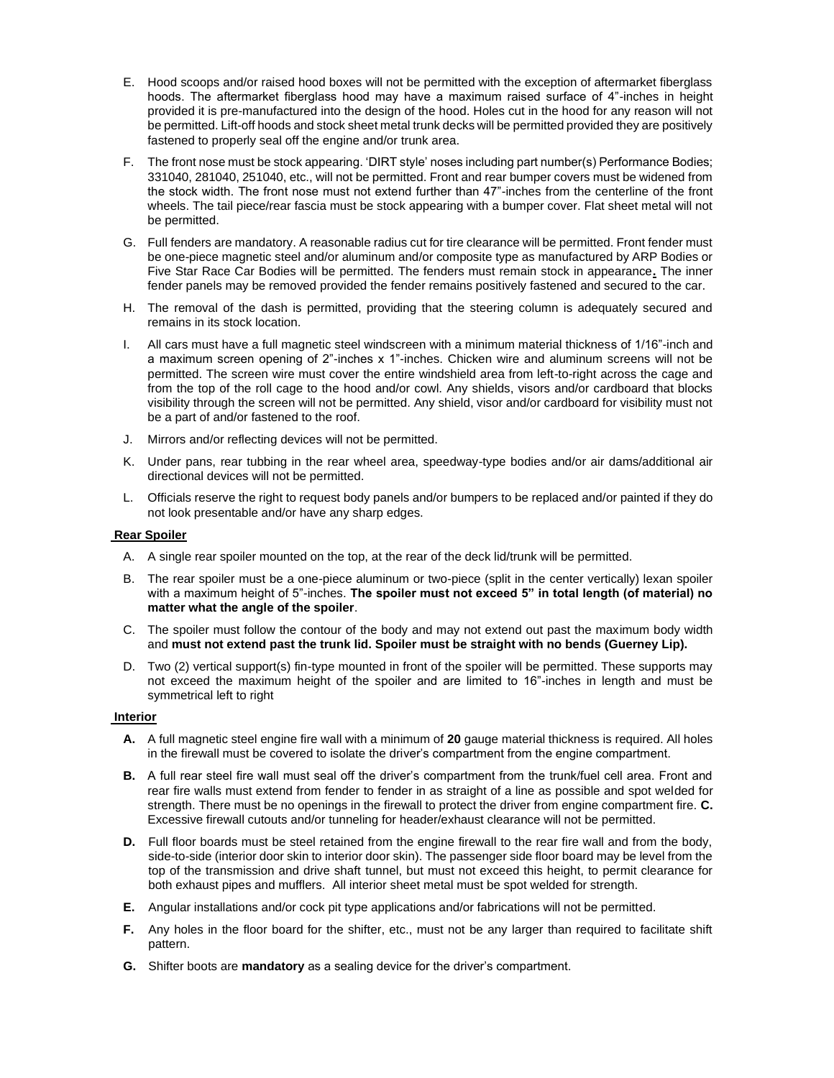- E. Hood scoops and/or raised hood boxes will not be permitted with the exception of aftermarket fiberglass hoods. The aftermarket fiberglass hood may have a maximum raised surface of 4"-inches in height provided it is pre-manufactured into the design of the hood. Holes cut in the hood for any reason will not be permitted. Lift-off hoods and stock sheet metal trunk decks will be permitted provided they are positively fastened to properly seal off the engine and/or trunk area.
- F. The front nose must be stock appearing. 'DIRT style' noses including part number(s) Performance Bodies; 331040, 281040, 251040, etc., will not be permitted. Front and rear bumper covers must be widened from the stock width. The front nose must not extend further than 47"-inches from the centerline of the front wheels. The tail piece/rear fascia must be stock appearing with a bumper cover. Flat sheet metal will not be permitted.
- G. Full fenders are mandatory. A reasonable radius cut for tire clearance will be permitted. Front fender must be one-piece magnetic steel and/or aluminum and/or composite type as manufactured by ARP Bodies or Five Star Race Car Bodies will be permitted. The fenders must remain stock in appearance**.** The inner fender panels may be removed provided the fender remains positively fastened and secured to the car.
- H. The removal of the dash is permitted, providing that the steering column is adequately secured and remains in its stock location.
- I. All cars must have a full magnetic steel windscreen with a minimum material thickness of 1/16"-inch and a maximum screen opening of 2"-inches x 1"-inches. Chicken wire and aluminum screens will not be permitted. The screen wire must cover the entire windshield area from left-to-right across the cage and from the top of the roll cage to the hood and/or cowl. Any shields, visors and/or cardboard that blocks visibility through the screen will not be permitted. Any shield, visor and/or cardboard for visibility must not be a part of and/or fastened to the roof.
- J. Mirrors and/or reflecting devices will not be permitted.
- K. Under pans, rear tubbing in the rear wheel area, speedway-type bodies and/or air dams/additional air directional devices will not be permitted.
- L. Officials reserve the right to request body panels and/or bumpers to be replaced and/or painted if they do not look presentable and/or have any sharp edges.

#### **Rear Spoiler**

- A. A single rear spoiler mounted on the top, at the rear of the deck lid/trunk will be permitted.
- B. The rear spoiler must be a one-piece aluminum or two-piece (split in the center vertically) lexan spoiler with a maximum height of 5"-inches. **The spoiler must not exceed 5" in total length (of material) no matter what the angle of the spoiler**.
- C. The spoiler must follow the contour of the body and may not extend out past the maximum body width and **must not extend past the trunk lid. Spoiler must be straight with no bends (Guerney Lip).**
- D. Two (2) vertical support(s) fin-type mounted in front of the spoiler will be permitted. These supports may not exceed the maximum height of the spoiler and are limited to 16"-inches in length and must be symmetrical left to right

### **Interior**

- **A.** A full magnetic steel engine fire wall with a minimum of **20** gauge material thickness is required. All holes in the firewall must be covered to isolate the driver's compartment from the engine compartment.
- **B.** A full rear steel fire wall must seal off the driver's compartment from the trunk/fuel cell area. Front and rear fire walls must extend from fender to fender in as straight of a line as possible and spot welded for strength. There must be no openings in the firewall to protect the driver from engine compartment fire. **C.**  Excessive firewall cutouts and/or tunneling for header/exhaust clearance will not be permitted.
- **D.** Full floor boards must be steel retained from the engine firewall to the rear fire wall and from the body, side-to-side (interior door skin to interior door skin). The passenger side floor board may be level from the top of the transmission and drive shaft tunnel, but must not exceed this height, to permit clearance for both exhaust pipes and mufflers. All interior sheet metal must be spot welded for strength.
- **E.** Angular installations and/or cock pit type applications and/or fabrications will not be permitted.
- **F.** Any holes in the floor board for the shifter, etc., must not be any larger than required to facilitate shift pattern.
- **G.** Shifter boots are **mandatory** as a sealing device for the driver's compartment.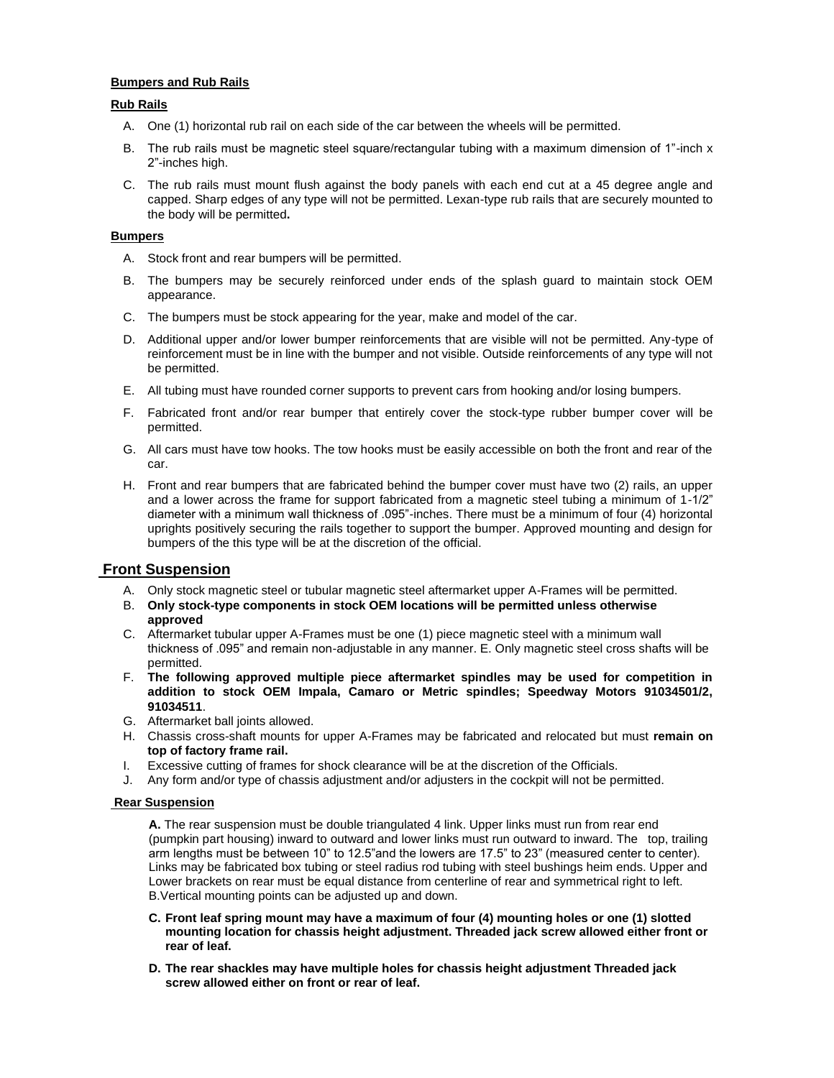### **Bumpers and Rub Rails**

### **Rub Rails**

- A. One (1) horizontal rub rail on each side of the car between the wheels will be permitted.
- B. The rub rails must be magnetic steel square/rectangular tubing with a maximum dimension of 1"-inch x 2"-inches high.
- C. The rub rails must mount flush against the body panels with each end cut at a 45 degree angle and capped. Sharp edges of any type will not be permitted. Lexan-type rub rails that are securely mounted to the body will be permitted**.**

### **Bumpers**

- A. Stock front and rear bumpers will be permitted.
- B. The bumpers may be securely reinforced under ends of the splash guard to maintain stock OEM appearance.
- C. The bumpers must be stock appearing for the year, make and model of the car.
- D. Additional upper and/or lower bumper reinforcements that are visible will not be permitted. Any-type of reinforcement must be in line with the bumper and not visible. Outside reinforcements of any type will not be permitted.
- E. All tubing must have rounded corner supports to prevent cars from hooking and/or losing bumpers.
- F. Fabricated front and/or rear bumper that entirely cover the stock-type rubber bumper cover will be permitted.
- G. All cars must have tow hooks. The tow hooks must be easily accessible on both the front and rear of the car.
- H. Front and rear bumpers that are fabricated behind the bumper cover must have two (2) rails, an upper and a lower across the frame for support fabricated from a magnetic steel tubing a minimum of 1-1/2" diameter with a minimum wall thickness of .095"-inches. There must be a minimum of four (4) horizontal uprights positively securing the rails together to support the bumper. Approved mounting and design for bumpers of the this type will be at the discretion of the official.

# **Front Suspension**

- A. Only stock magnetic steel or tubular magnetic steel aftermarket upper A-Frames will be permitted.
- B. **Only stock-type components in stock OEM locations will be permitted unless otherwise approved**
- C. Aftermarket tubular upper A-Frames must be one (1) piece magnetic steel with a minimum wall thickness of .095" and remain non-adjustable in any manner. E. Only magnetic steel cross shafts will be permitted.
- F. **The following approved multiple piece aftermarket spindles may be used for competition in addition to stock OEM Impala, Camaro or Metric spindles; Speedway Motors 91034501/2, 91034511**.
- G. Aftermarket ball joints allowed.
- H. Chassis cross-shaft mounts for upper A-Frames may be fabricated and relocated but must **remain on top of factory frame rail.**
- I. Excessive cutting of frames for shock clearance will be at the discretion of the Officials.
- J. Any form and/or type of chassis adjustment and/or adjusters in the cockpit will not be permitted.

# **Rear Suspension**

**A.** The rear suspension must be double triangulated 4 link. Upper links must run from rear end (pumpkin part housing) inward to outward and lower links must run outward to inward. The top, trailing arm lengths must be between 10" to 12.5"and the lowers are 17.5" to 23" (measured center to center). Links may be fabricated box tubing or steel radius rod tubing with steel bushings heim ends. Upper and Lower brackets on rear must be equal distance from centerline of rear and symmetrical right to left. B.Vertical mounting points can be adjusted up and down.

- **C. Front leaf spring mount may have a maximum of four (4) mounting holes or one (1) slotted mounting location for chassis height adjustment. Threaded jack screw allowed either front or rear of leaf.**
- **D. The rear shackles may have multiple holes for chassis height adjustment Threaded jack screw allowed either on front or rear of leaf.**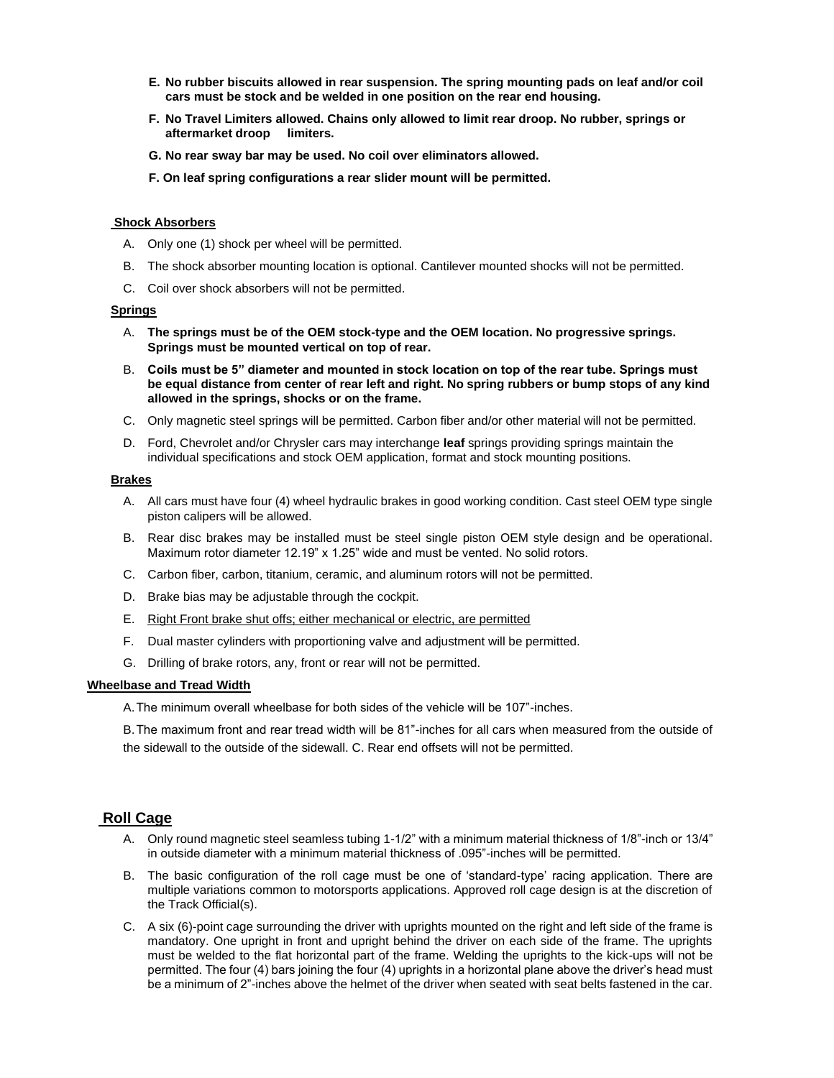- **E. No rubber biscuits allowed in rear suspension. The spring mounting pads on leaf and/or coil cars must be stock and be welded in one position on the rear end housing.**
- **F. No Travel Limiters allowed. Chains only allowed to limit rear droop. No rubber, springs or aftermarket droop limiters.**
- **G. No rear sway bar may be used. No coil over eliminators allowed.**
- **F. On leaf spring configurations a rear slider mount will be permitted.**

#### **Shock Absorbers**

- A. Only one (1) shock per wheel will be permitted.
- B. The shock absorber mounting location is optional. Cantilever mounted shocks will not be permitted.
- C. Coil over shock absorbers will not be permitted.

#### **Springs**

- A. **The springs must be of the OEM stock-type and the OEM location. No progressive springs. Springs must be mounted vertical on top of rear.**
- B. **Coils must be 5" diameter and mounted in stock location on top of the rear tube. Springs must be equal distance from center of rear left and right. No spring rubbers or bump stops of any kind allowed in the springs, shocks or on the frame.**
- C. Only magnetic steel springs will be permitted. Carbon fiber and/or other material will not be permitted.
- D. Ford, Chevrolet and/or Chrysler cars may interchange **leaf** springs providing springs maintain the individual specifications and stock OEM application, format and stock mounting positions.

#### **Brakes**

- A. All cars must have four (4) wheel hydraulic brakes in good working condition. Cast steel OEM type single piston calipers will be allowed.
- B. Rear disc brakes may be installed must be steel single piston OEM style design and be operational. Maximum rotor diameter 12.19" x 1.25" wide and must be vented. No solid rotors.
- C. Carbon fiber, carbon, titanium, ceramic, and aluminum rotors will not be permitted.
- D. Brake bias may be adjustable through the cockpit.
- E. Right Front brake shut offs; either mechanical or electric, are permitted
- F. Dual master cylinders with proportioning valve and adjustment will be permitted.
- G. Drilling of brake rotors, any, front or rear will not be permitted.

#### **Wheelbase and Tread Width**

A.The minimum overall wheelbase for both sides of the vehicle will be 107"-inches.

B.The maximum front and rear tread width will be 81"-inches for all cars when measured from the outside of the sidewall to the outside of the sidewall. C. Rear end offsets will not be permitted.

# **Roll Cage**

- A. Only round magnetic steel seamless tubing 1-1/2" with a minimum material thickness of 1/8"-inch or 13/4" in outside diameter with a minimum material thickness of .095"-inches will be permitted.
- B. The basic configuration of the roll cage must be one of 'standard-type' racing application. There are multiple variations common to motorsports applications. Approved roll cage design is at the discretion of the Track Official(s).
- C. A six (6)-point cage surrounding the driver with uprights mounted on the right and left side of the frame is mandatory. One upright in front and upright behind the driver on each side of the frame. The uprights must be welded to the flat horizontal part of the frame. Welding the uprights to the kick-ups will not be permitted. The four (4) bars joining the four (4) uprights in a horizontal plane above the driver's head must be a minimum of 2"-inches above the helmet of the driver when seated with seat belts fastened in the car.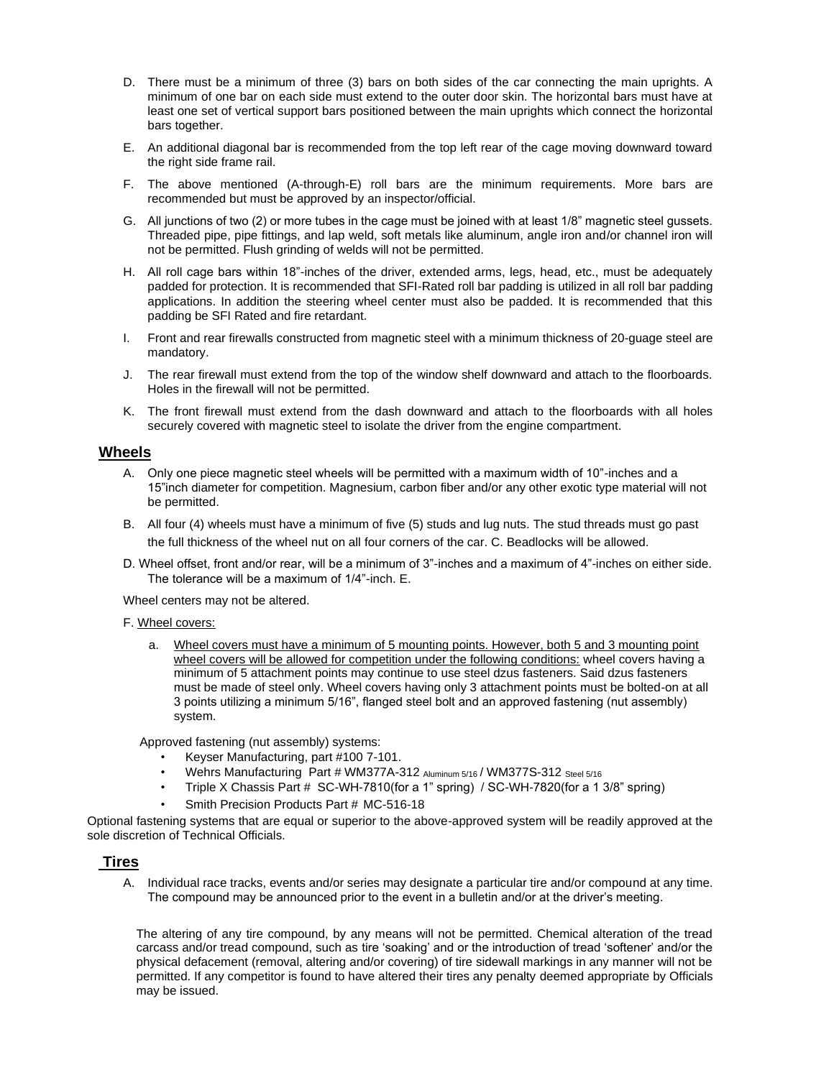- D. There must be a minimum of three (3) bars on both sides of the car connecting the main uprights. A minimum of one bar on each side must extend to the outer door skin. The horizontal bars must have at least one set of vertical support bars positioned between the main uprights which connect the horizontal bars together.
- E. An additional diagonal bar is recommended from the top left rear of the cage moving downward toward the right side frame rail.
- F. The above mentioned (A-through-E) roll bars are the minimum requirements. More bars are recommended but must be approved by an inspector/official.
- G. All junctions of two (2) or more tubes in the cage must be joined with at least 1/8" magnetic steel gussets. Threaded pipe, pipe fittings, and lap weld, soft metals like aluminum, angle iron and/or channel iron will not be permitted. Flush grinding of welds will not be permitted.
- H. All roll cage bars within 18"-inches of the driver, extended arms, legs, head, etc., must be adequately padded for protection. It is recommended that SFI-Rated roll bar padding is utilized in all roll bar padding applications. In addition the steering wheel center must also be padded. It is recommended that this padding be SFI Rated and fire retardant.
- I. Front and rear firewalls constructed from magnetic steel with a minimum thickness of 20-guage steel are mandatory.
- J. The rear firewall must extend from the top of the window shelf downward and attach to the floorboards. Holes in the firewall will not be permitted.
- K. The front firewall must extend from the dash downward and attach to the floorboards with all holes securely covered with magnetic steel to isolate the driver from the engine compartment.

### **Wheels**

- A. Only one piece magnetic steel wheels will be permitted with a maximum width of 10"-inches and a 15"inch diameter for competition. Magnesium, carbon fiber and/or any other exotic type material will not be permitted.
- B. All four (4) wheels must have a minimum of five (5) studs and lug nuts. The stud threads must go past the full thickness of the wheel nut on all four corners of the car. C. Beadlocks will be allowed.
- D. Wheel offset, front and/or rear, will be a minimum of 3"-inches and a maximum of 4"-inches on either side. The tolerance will be a maximum of 1/4"-inch. E.

Wheel centers may not be altered.

#### F. Wheel covers:

a. Wheel covers must have a minimum of 5 mounting points. However, both 5 and 3 mounting point wheel covers will be allowed for competition under the following conditions: wheel covers having a minimum of 5 attachment points may continue to use steel dzus fasteners. Said dzus fasteners must be made of steel only. Wheel covers having only 3 attachment points must be bolted-on at all 3 points utilizing a minimum 5/16", flanged steel bolt and an approved fastening (nut assembly) system.

Approved fastening (nut assembly) systems:

- Keyser Manufacturing, part #100 7-101.
- Wehrs Manufacturing Part # WM377A-312 Aluminum 5/16 / WM377S-312 Steel 5/16
- Triple X Chassis Part # SC-WH-7810(for a 1" spring) / SC-WH-7820(for a 1 3/8" spring)
- Smith Precision Products Part # MC-516-18

Optional fastening systems that are equal or superior to the above-approved system will be readily approved at the sole discretion of Technical Officials.

# **Tires**

A. Individual race tracks, events and/or series may designate a particular tire and/or compound at any time. The compound may be announced prior to the event in a bulletin and/or at the driver's meeting.

The altering of any tire compound, by any means will not be permitted. Chemical alteration of the tread carcass and/or tread compound, such as tire 'soaking' and or the introduction of tread 'softener' and/or the physical defacement (removal, altering and/or covering) of tire sidewall markings in any manner will not be permitted. If any competitor is found to have altered their tires any penalty deemed appropriate by Officials may be issued.